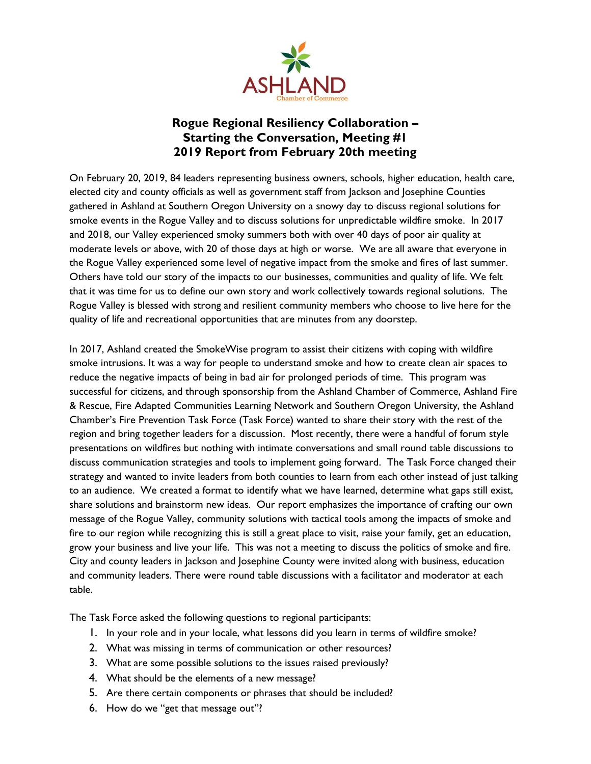

# **Rogue Regional Resiliency Collaboration – Starting the Conversation, Meeting #1 2019 Report from February 20th meeting**

On February 20, 2019, 84 leaders representing business owners, schools, higher education, health care, elected city and county officials as well as government staff from Jackson and Josephine Counties gathered in Ashland at Southern Oregon University on a snowy day to discuss regional solutions for smoke events in the Rogue Valley and to discuss solutions for unpredictable wildfire smoke. In 2017 and 2018, our Valley experienced smoky summers both with over 40 days of poor air quality at moderate levels or above, with 20 of those days at high or worse. We are all aware that everyone in the Rogue Valley experienced some level of negative impact from the smoke and fires of last summer. Others have told our story of the impacts to our businesses, communities and quality of life. We felt that it was time for us to define our own story and work collectively towards regional solutions. The Rogue Valley is blessed with strong and resilient community members who choose to live here for the quality of life and recreational opportunities that are minutes from any doorstep.

In 2017, Ashland created the SmokeWise program to assist their citizens with coping with wildfire smoke intrusions. It was a way for people to understand smoke and how to create clean air spaces to reduce the negative impacts of being in bad air for prolonged periods of time. This program was successful for citizens, and through sponsorship from the Ashland Chamber of Commerce, Ashland Fire & Rescue, Fire Adapted Communities Learning Network and Southern Oregon University, the Ashland Chamber's Fire Prevention Task Force (Task Force) wanted to share their story with the rest of the region and bring together leaders for a discussion. Most recently, there were a handful of forum style presentations on wildfires but nothing with intimate conversations and small round table discussions to discuss communication strategies and tools to implement going forward. The Task Force changed their strategy and wanted to invite leaders from both counties to learn from each other instead of just talking to an audience. We created a format to identify what we have learned, determine what gaps still exist, share solutions and brainstorm new ideas. Our report emphasizes the importance of crafting our own message of the Rogue Valley, community solutions with tactical tools among the impacts of smoke and fire to our region while recognizing this is still a great place to visit, raise your family, get an education, grow your business and live your life. This was not a meeting to discuss the politics of smoke and fire. City and county leaders in Jackson and Josephine County were invited along with business, education and community leaders. There were round table discussions with a facilitator and moderator at each table.

The Task Force asked the following questions to regional participants:

- 1. In your role and in your locale, what lessons did you learn in terms of wildfire smoke?
- 2. What was missing in terms of communication or other resources?
- 3. What are some possible solutions to the issues raised previously?
- 4. What should be the elements of a new message?
- 5. Are there certain components or phrases that should be included?
- 6. How do we "get that message out"?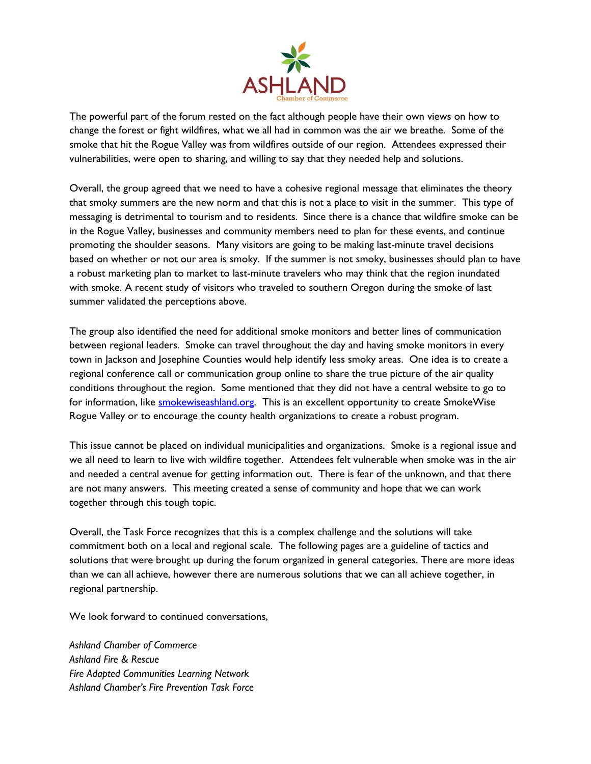

The powerful part of the forum rested on the fact although people have their own views on how to change the forest or fight wildfires, what we all had in common was the air we breathe. Some of the smoke that hit the Rogue Valley was from wildfires outside of our region. Attendees expressed their vulnerabilities, were open to sharing, and willing to say that they needed help and solutions.

Overall, the group agreed that we need to have a cohesive regional message that eliminates the theory that smoky summers are the new norm and that this is not a place to visit in the summer. This type of messaging is detrimental to tourism and to residents. Since there is a chance that wildfire smoke can be in the Rogue Valley, businesses and community members need to plan for these events, and continue promoting the shoulder seasons. Many visitors are going to be making last-minute travel decisions based on whether or not our area is smoky. If the summer is not smoky, businesses should plan to have a robust marketing plan to market to last-minute travelers who may think that the region inundated with smoke. A recent study of visitors who traveled to southern Oregon during the smoke of last summer validated the perceptions above.

The group also identified the need for additional smoke monitors and better lines of communication between regional leaders. Smoke can travel throughout the day and having smoke monitors in every town in Jackson and Josephine Counties would help identify less smoky areas. One idea is to create a regional conference call or communication group online to share the true picture of the air quality conditions throughout the region. Some mentioned that they did not have a central website to go to for information, like **smokewiseashland.org**. This is an excellent opportunity to create SmokeWise Rogue Valley or to encourage the county health organizations to create a robust program.

This issue cannot be placed on individual municipalities and organizations. Smoke is a regional issue and we all need to learn to live with wildfire together. Attendees felt vulnerable when smoke was in the air and needed a central avenue for getting information out. There is fear of the unknown, and that there are not many answers. This meeting created a sense of community and hope that we can work together through this tough topic.

Overall, the Task Force recognizes that this is a complex challenge and the solutions will take commitment both on a local and regional scale. The following pages are a guideline of tactics and solutions that were brought up during the forum organized in general categories. There are more ideas than we can all achieve, however there are numerous solutions that we can all achieve together, in regional partnership.

We look forward to continued conversations,

*Ashland Chamber of Commerce Ashland Fire & Rescue Fire Adapted Communities Learning Network Ashland Chamber's Fire Prevention Task Force*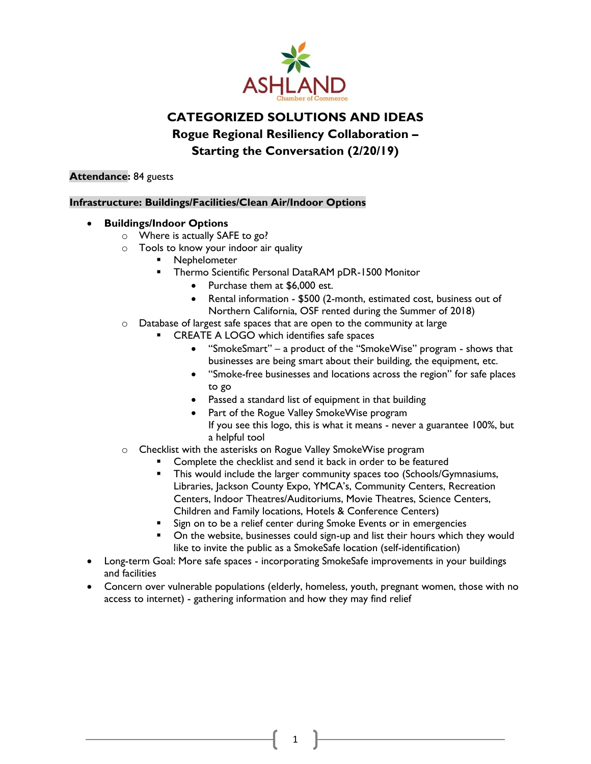

# **CATEGORIZED SOLUTIONS AND IDEAS**

**Rogue Regional Resiliency Collaboration –**

**Starting the Conversation (2/20/19)**

### **Attendance:** 84 guests

### **Infrastructure: Buildings/Facilities/Clean Air/Indoor Options**

## • **Buildings/Indoor Options**

- o Where is actually SAFE to go?
- o Tools to know your indoor air quality
	- **Nephelometer**
	- Thermo Scientific Personal DataRAM pDR-1500 Monitor
		- Purchase them at \$6,000 est.
		- Rental information \$500 (2-month, estimated cost, business out of Northern California, OSF rented during the Summer of 2018)
- o Database of largest safe spaces that are open to the community at large
	- CREATE A LOGO which identifies safe spaces
		- "SmokeSmart" a product of the "SmokeWise" program shows that businesses are being smart about their building, the equipment, etc.
		- "Smoke-free businesses and locations across the region" for safe places to go
		- Passed a standard list of equipment in that building
		- Part of the Rogue Valley SmokeWise program If you see this logo, this is what it means - never a guarantee 100%, but a helpful tool
- o Checklist with the asterisks on Rogue Valley SmokeWise program
	- Complete the checklist and send it back in order to be featured
	- This would include the larger community spaces too (Schools/Gymnasiums, Libraries, Jackson County Expo, YMCA's, Community Centers, Recreation Centers, Indoor Theatres/Auditoriums, Movie Theatres, Science Centers, Children and Family locations, Hotels & Conference Centers)
	- Sign on to be a relief center during Smoke Events or in emergencies
	- On the website, businesses could sign-up and list their hours which they would like to invite the public as a SmokeSafe location (self-identification)
- Long-term Goal: More safe spaces incorporating SmokeSafe improvements in your buildings and facilities
- Concern over vulnerable populations (elderly, homeless, youth, pregnant women, those with no access to internet) - gathering information and how they may find relief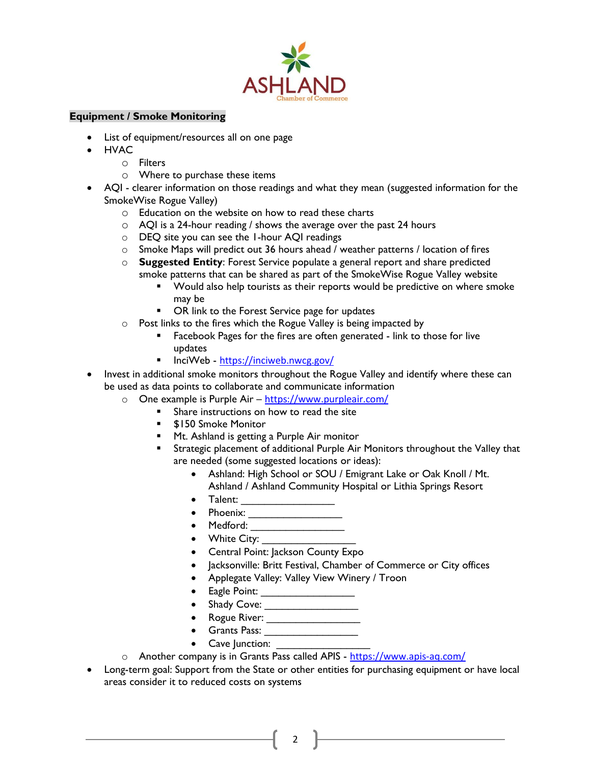

### **Equipment / Smoke Monitoring**

- List of equipment/resources all on one page
- HVAC
	- o Filters
	- o Where to purchase these items
- AQI clearer information on those readings and what they mean (suggested information for the SmokeWise Rogue Valley)
	- o Education on the website on how to read these charts
	- $\circ$  AQI is a 24-hour reading / shows the average over the past 24 hours
	- o DEQ site you can see the 1-hour AQI readings
	- o Smoke Maps will predict out 36 hours ahead / weather patterns / location of fires
	- o **Suggested Entity**: Forest Service populate a general report and share predicted smoke patterns that can be shared as part of the SmokeWise Rogue Valley website
		- Would also help tourists as their reports would be predictive on where smoke may be
		- OR link to the Forest Service page for updates
	- o Post links to the fires which the Rogue Valley is being impacted by
		- Facebook Pages for the fires are often generated link to those for live updates
		- InciWeb <https://inciweb.nwcg.gov/>
- Invest in additional smoke monitors throughout the Rogue Valley and identify where these can be used as data points to collaborate and communicate information
	- o One example is Purple Air <https://www.purpleair.com/>
		- Share instructions on how to read the site
		- **\$150 Smoke Monitor**
		- Mt. Ashland is getting a Purple Air monitor
		- Strategic placement of additional Purple Air Monitors throughout the Valley that are needed (some suggested locations or ideas):
			- Ashland: High School or SOU / Emigrant Lake or Oak Knoll / Mt. Ashland / Ashland Community Hospital or Lithia Springs Resort
			- Talent: \_\_\_\_\_\_\_\_\_\_\_\_\_\_\_\_
			- Phoenix: \_\_\_\_\_\_\_\_\_\_\_\_\_\_\_\_
			- Medford: \_\_\_\_\_\_\_\_\_\_\_\_\_\_\_\_
			- White City: \_\_\_\_\_\_\_\_\_\_\_\_\_\_\_\_
			- Central Point: Jackson County Expo
			- Jacksonville: Britt Festival, Chamber of Commerce or City offices
			- Applegate Valley: Valley View Winery / Troon
			- Eagle Point: \_\_\_\_\_\_\_\_\_\_\_\_\_\_\_\_
			- Shady Cove: \_\_\_\_\_\_\_\_\_\_\_\_\_\_\_\_
			- Rogue River: \_\_\_\_\_\_\_\_\_\_\_\_\_\_\_\_
			- Grants Pass: \_\_\_\_\_\_\_\_\_\_\_\_\_\_\_\_
			- Cave Junction:
	- o Another company is in Grants Pass called APIS <https://www.apis-aq.com/>
- Long-term goal: Support from the State or other entities for purchasing equipment or have local areas consider it to reduced costs on systems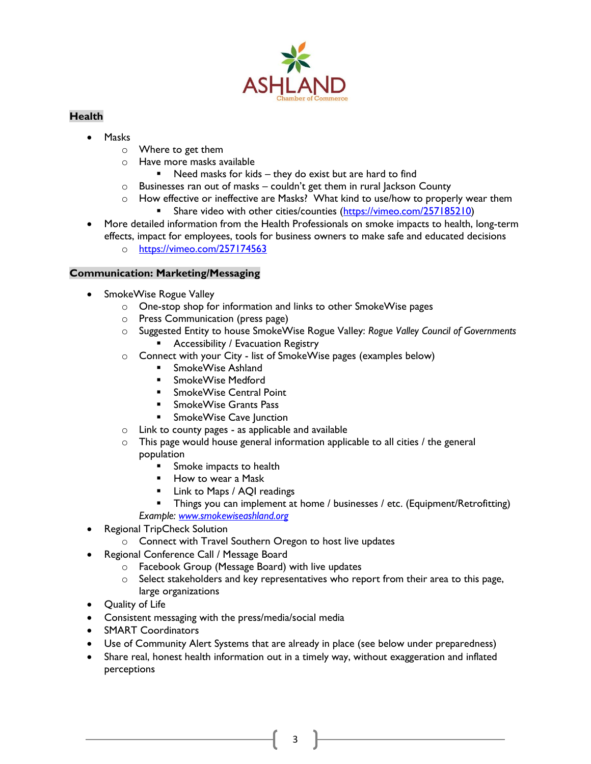

# **Health**

- Masks
	- o Where to get them
	- o Have more masks available
		- Need masks for kids they do exist but are hard to find
	- o Businesses ran out of masks couldn't get them in rural Jackson County
	- $\circ$  How effective or ineffective are Masks? What kind to use/how to properly wear them
		- Share video with other cities/counties [\(https://vimeo.com/257185210\)](https://vimeo.com/257185210)
- More detailed information from the Health Professionals on smoke impacts to health, long-term effects, impact for employees, tools for business owners to make safe and educated decisions
	- o <https://vimeo.com/257174563>

## **Communication: Marketing/Messaging**

- SmokeWise Rogue Valley
	- o One-stop shop for information and links to other SmokeWise pages
	- o Press Communication (press page)
	- o Suggested Entity to house SmokeWise Rogue Valley: *Rogue Valley Council of Governments*
		- Accessibility / Evacuation Registry
	- o Connect with your City list of SmokeWise pages (examples below)
		- SmokeWise Ashland
		- SmokeWise Medford
		- SmokeWise Central Point
		- SmokeWise Grants Pass
		- SmokeWise Cave Junction
	- o Link to county pages as applicable and available
	- $\circ$  This page would house general information applicable to all cities / the general population
		- Smoke impacts to health
		- How to wear a Mask
		- Link to Maps / AQI readings
		- **Things you can implement at home / businesses / etc. (Equipment/Retrofitting)** *Example: [www.smokewiseashland.org](http://www.smokewiseashland.org/)*
- Regional TripCheck Solution
	- o Connect with Travel Southern Oregon to host live updates
- Regional Conference Call / Message Board
	- o Facebook Group (Message Board) with live updates
	- $\circ$  Select stakeholders and key representatives who report from their area to this page, large organizations
- Quality of Life
- Consistent messaging with the press/media/social media
- SMART Coordinators
- Use of Community Alert Systems that are already in place (see below under preparedness)
- Share real, honest health information out in a timely way, without exaggeration and inflated perceptions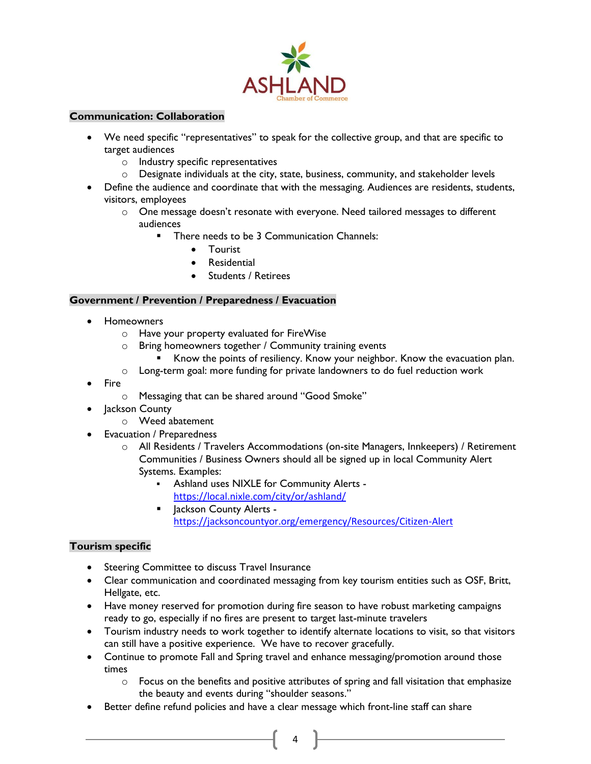

#### **Communication: Collaboration**

- We need specific "representatives" to speak for the collective group, and that are specific to target audiences
	- o Industry specific representatives
	- $\circ$  Designate individuals at the city, state, business, community, and stakeholder levels
- Define the audience and coordinate that with the messaging. Audiences are residents, students, visitors, employees
	- o One message doesn't resonate with everyone. Need tailored messages to different audiences
		- There needs to be 3 Communication Channels:
			- Tourist
			- **Residential**
			- Students / Retirees

#### **Government / Prevention / Preparedness / Evacuation**

- Homeowners
	- o Have your property evaluated for FireWise
	- o Bring homeowners together / Community training events
		- Know the points of resiliency. Know your neighbor. Know the evacuation plan.
	- o Long-term goal: more funding for private landowners to do fuel reduction work
- Fire
	- o Messaging that can be shared around "Good Smoke"
- Jackson County
	- o Weed abatement
- Evacuation / Preparedness
	- o All Residents / Travelers Accommodations (on-site Managers, Innkeepers) / Retirement Communities / Business Owners should all be signed up in local Community Alert Systems. Examples:
		- Ashland uses NIXLE for Community Alerts <https://local.nixle.com/city/or/ashland/>
		- Jackson County Alerts <https://jacksoncountyor.org/emergency/Resources/Citizen-Alert>

## **Tourism specific**

- Steering Committee to discuss Travel Insurance
- Clear communication and coordinated messaging from key tourism entities such as OSF, Britt, Hellgate, etc.
- Have money reserved for promotion during fire season to have robust marketing campaigns ready to go, especially if no fires are present to target last-minute travelers
- Tourism industry needs to work together to identify alternate locations to visit, so that visitors can still have a positive experience. We have to recover gracefully.
- Continue to promote Fall and Spring travel and enhance messaging/promotion around those times

- $\circ$  Focus on the benefits and positive attributes of spring and fall visitation that emphasize the beauty and events during "shoulder seasons."
- Better define refund policies and have a clear message which front-line staff can share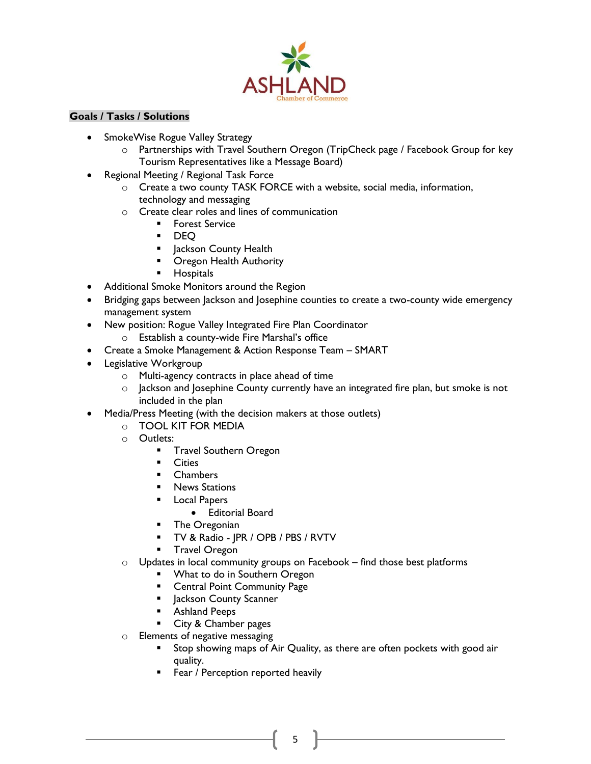

### **Goals / Tasks / Solutions**

- SmokeWise Rogue Valley Strategy
	- o Partnerships with Travel Southern Oregon (TripCheck page / Facebook Group for key Tourism Representatives like a Message Board)
- Regional Meeting / Regional Task Force
	- o Create a two county TASK FORCE with a website, social media, information, technology and messaging
	- o Create clear roles and lines of communication
		- **■** Forest Service
		- DEQ
		- **E** Jackson County Health
		- Oregon Health Authority
		- Hospitals
- Additional Smoke Monitors around the Region
- Bridging gaps between Jackson and Josephine counties to create a two-county wide emergency management system
- New position: Rogue Valley Integrated Fire Plan Coordinator
	- o Establish a county-wide Fire Marshal's office
- Create a Smoke Management & Action Response Team SMART
- Legislative Workgroup
	- o Multi-agency contracts in place ahead of time
	- o Jackson and Josephine County currently have an integrated fire plan, but smoke is not included in the plan
- Media/Press Meeting (with the decision makers at those outlets)
	- o TOOL KIT FOR MEDIA
	- o Outlets:
		- **■** Travel Southern Oregon
		- Cities
		- Chambers
		- **E** News Stations
		- Local Papers
			- Editorial Board
		- **•** The Oregonian
		- TV & Radio JPR / OPB / PBS / RVTV
		- **■** Travel Oregon
	- $\circ$  Updates in local community groups on Facebook find those best platforms
		- **What to do in Southern Oregon**
		- Central Point Community Page
		- **E** Jackson County Scanner
		- Ashland Peeps
		- City & Chamber pages
	- o Elements of negative messaging
		- Stop showing maps of Air Quality, as there are often pockets with good air quality.
		- **EXECT:** Fear / Perception reported heavily